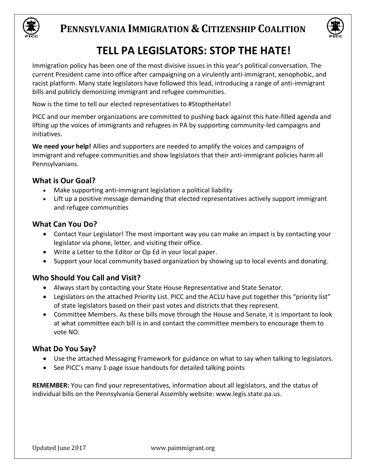



# **TELL PA LEGISLATORS: STOP THE HATE!**

Immigration policy has been one of the most divisive issues in this year's political conversation. The current President came into office after campaigning on a virulently anti-immigrant, xenophobic, and racist platform. Many state legislators have followed this lead, introducing a range of anti-immigrant bills and publicly demonizing immigrant and refugee communities.

Now is the time to tell our elected representatives to #StoptheHate!

PICC and our member organizations are committed to pushing back against this hate-filled agenda and lifting up the voices of immigrants and refugees in PA by supporting community-led campaigns and initiatives.

**We need your help!** Allies and supporters are needed to amplify the voices and campaigns of immigrant and refugee communities and show legislators that their anti-immigrant policies harm all Pennsylvanians.

## **What is Our Goal?**

- Make supporting anti-immigrant legislation a political liability
- Lift up a positive message demanding that elected representatives actively support immigrant and refugee communities

## **What Can You Do?**

- Contact Your Legislator! The most important way you can make an impact is by contacting your legislator via phone, letter, and visiting their office.
- Write a Letter to the Editor or Op Ed in your local paper.
- Support your local community based organization by showing up to local events and donating.

## **Who Should You Call and Visit?**

- Always start by contacting your State House Representative and State Senator.
- Legislators on the attached Priority List. PICC and the ACLU have put together this "priority list" of state legislators based on their past votes and districts that they represent.
- Committee Members. As these bills move through the House and Senate, it is important to look at what committee each bill is in and contact the committee members to encourage them to vote NO.

## **What Do You Say?**

- Use the attached Messaging Framework for guidance on what to say when talking to legislators.
- See PICC's many 1-page issue handouts for detailed talking points

**REMEMBER:** You can find your representatives, information about all legislators, and the status of individual bills on the Pennsylvania General Assembly website: www.legis.state.pa.us.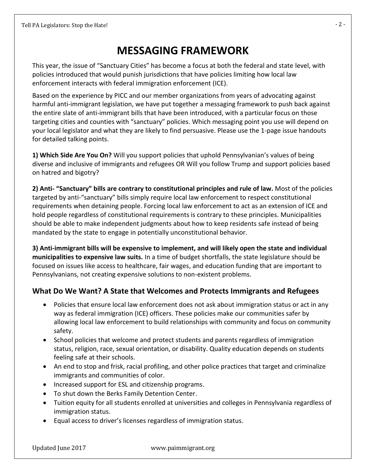# **MESSAGING FRAMEWORK**

This year, the issue of "Sanctuary Cities" has become a focus at both the federal and state level, with policies introduced that would punish jurisdictions that have policies limiting how local law enforcement interacts with federal immigration enforcement (ICE).

Based on the experience by PICC and our member organizations from years of advocating against harmful anti-immigrant legislation, we have put together a messaging framework to push back against the entire slate of anti-immigrant bills that have been introduced, with a particular focus on those targeting cities and counties with "sanctuary" policies. Which messaging point you use will depend on your local legislator and what they are likely to find persuasive. Please use the 1-page issue handouts for detailed talking points.

**1) Which Side Are You On?** Will you support policies that uphold Pennsylvanian's values of being diverse and inclusive of immigrants and refugees OR Will you follow Trump and support policies based on hatred and bigotry?

**2) Anti- "Sanctuary" bills are contrary to constitutional principles and rule of law.** Most of the policies targeted by anti-"sanctuary" bills simply require local law enforcement to respect constitutional requirements when detaining people. Forcing local law enforcement to act as an extension of ICE and hold people regardless of constitutional requirements is contrary to these principles. Municipalities should be able to make independent judgments about how to keep residents safe instead of being mandated by the state to engage in potentially unconstitutional behavior.

**3) Anti-immigrant bills will be expensive to implement, and will likely open the state and individual municipalities to expensive law suits.** In a time of budget shortfalls, the state legislature should be focused on issues like access to healthcare, fair wages, and education funding that are important to Pennsylvanians, not creating expensive solutions to non-existent problems.

## **What Do We Want? A State that Welcomes and Protects Immigrants and Refugees**

- Policies that ensure local law enforcement does not ask about immigration status or act in any way as federal immigration (ICE) officers. These policies make our communities safer by allowing local law enforcement to build relationships with community and focus on community safety.
- School policies that welcome and protect students and parents regardless of immigration status, religion, race, sexual orientation, or disability. Quality education depends on students feeling safe at their schools.
- An end to stop and frisk, racial profiling, and other police practices that target and criminalize immigrants and communities of color.
- Increased support for ESL and citizenship programs.
- To shut down the Berks Family Detention Center.
- Tuition equity for all students enrolled at universities and colleges in Pennsylvania regardless of immigration status.
- Equal access to driver's licenses regardless of immigration status.

Updated June 2017 www.paimmigrant.org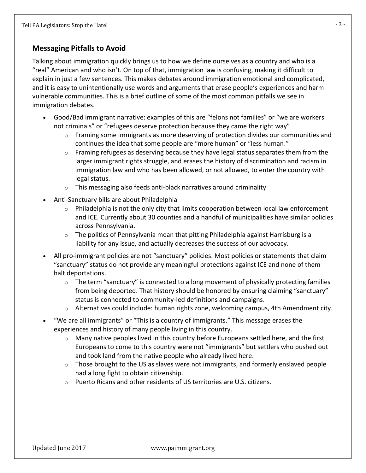#### **Messaging Pitfalls to Avoid**

Talking about immigration quickly brings us to how we define ourselves as a country and who is a "real" American and who isn't. On top of that, immigration law is confusing, making it difficult to explain in just a few sentences. This makes debates around immigration emotional and complicated, and it is easy to unintentionally use words and arguments that erase people's experiences and harm vulnerable communities. This is a brief outline of some of the most common pitfalls we see in immigration debates.

- Good/Bad immigrant narrative: examples of this are "felons not families" or "we are workers not criminals" or "refugees deserve protection because they came the right way"
	- o Framing some immigrants as more deserving of protection divides our communities and continues the idea that some people are "more human" or "less human."
	- o Framing refugees as deserving because they have legal status separates them from the larger immigrant rights struggle, and erases the history of discrimination and racism in immigration law and who has been allowed, or not allowed, to enter the country with legal status.
	- o This messaging also feeds anti-black narratives around criminality
- Anti-Sanctuary bills are about Philadelphia
	- $\circ$  Philadelphia is not the only city that limits cooperation between local law enforcement and ICE. Currently about 30 counties and a handful of municipalities have similar policies across Pennsylvania.
	- $\circ$  The politics of Pennsylvania mean that pitting Philadelphia against Harrisburg is a liability for any issue, and actually decreases the success of our advocacy.
- All pro-immigrant policies are not "sanctuary" policies. Most policies or statements that claim "sanctuary" status do not provide any meaningful protections against ICE and none of them halt deportations.
	- $\circ$  The term "sanctuary" is connected to a long movement of physically protecting families from being deported. That history should be honored by ensuring claiming "sanctuary" status is connected to community-led definitions and campaigns.
	- $\circ$  Alternatives could include: human rights zone, welcoming campus, 4th Amendment city.
- "We are all immigrants" or "This is a country of immigrants." This message erases the experiences and history of many people living in this country.
	- o Many native peoples lived in this country before Europeans settled here, and the first Europeans to come to this country were not "immigrants" but settlers who pushed out and took land from the native people who already lived here.
	- $\circ$  Those brought to the US as slaves were not immigrants, and formerly enslaved people had a long fight to obtain citizenship.
	- o Puerto Ricans and other residents of US territories are U.S. citizens.